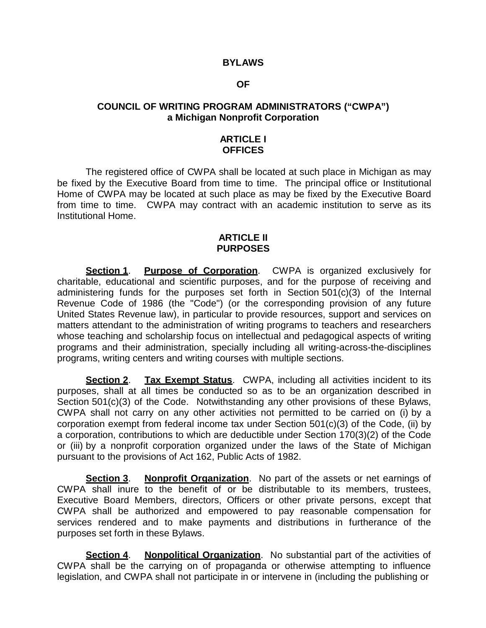#### **BYLAWS**

#### **OF**

# **COUNCIL OF WRITING PROGRAM ADMINISTRATORS ("CWPA") a Michigan Nonprofit Corporation**

### **ARTICLE I OFFICES**

The registered office of CWPA shall be located at such place in Michigan as may be fixed by the Executive Board from time to time. The principal office or Institutional Home of CWPA may be located at such place as may be fixed by the Executive Board from time to time. CWPA may contract with an academic institution to serve as its Institutional Home.

### **ARTICLE II PURPOSES**

**Section 1. Purpose of Corporation**. CWPA is organized exclusively for charitable, educational and scientific purposes, and for the purpose of receiving and administering funds for the purposes set forth in Section 501(c)(3) of the Internal Revenue Code of 1986 (the "Code") (or the corresponding provision of any future United States Revenue law), in particular to provide resources, support and services on matters attendant to the administration of writing programs to teachers and researchers whose teaching and scholarship focus on intellectual and pedagogical aspects of writing programs and their administration, specially including all writing-across-the-disciplines programs, writing centers and writing courses with multiple sections.

**Section 2**. **Tax Exempt Status**. CWPA, including all activities incident to its purposes, shall at all times be conducted so as to be an organization described in Section 501(c)(3) of the Code. Notwithstanding any other provisions of these Bylaws, CWPA shall not carry on any other activities not permitted to be carried on (i) by a corporation exempt from federal income tax under Section 501(c)(3) of the Code, (ii) by a corporation, contributions to which are deductible under Section 170(3)(2) of the Code or (iii) by a nonprofit corporation organized under the laws of the State of Michigan pursuant to the provisions of Act 162, Public Acts of 1982.

**Section 3**. **Nonprofit Organization**. No part of the assets or net earnings of CWPA shall inure to the benefit of or be distributable to its members, trustees, Executive Board Members, directors, Officers or other private persons, except that CWPA shall be authorized and empowered to pay reasonable compensation for services rendered and to make payments and distributions in furtherance of the purposes set forth in these Bylaws.

**Section 4**. **Nonpolitical Organization**. No substantial part of the activities of CWPA shall be the carrying on of propaganda or otherwise attempting to influence legislation, and CWPA shall not participate in or intervene in (including the publishing or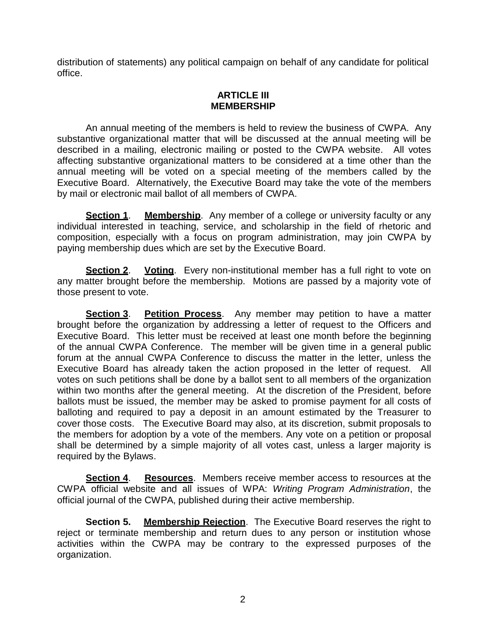distribution of statements) any political campaign on behalf of any candidate for political office.

# **ARTICLE III MEMBERSHIP**

An annual meeting of the members is held to review the business of CWPA. Any substantive organizational matter that will be discussed at the annual meeting will be described in a mailing, electronic mailing or posted to the CWPA website. All votes affecting substantive organizational matters to be considered at a time other than the annual meeting will be voted on a special meeting of the members called by the Executive Board. Alternatively, the Executive Board may take the vote of the members by mail or electronic mail ballot of all members of CWPA.

**Section 1.** Membership. Any member of a college or university faculty or any individual interested in teaching, service, and scholarship in the field of rhetoric and composition, especially with a focus on program administration, may join CWPA by paying membership dues which are set by the Executive Board.

**Section 2. Voting**. Every non-institutional member has a full right to vote on any matter brought before the membership. Motions are passed by a majority vote of those present to vote.

**Section 3**. **Petition Process**. Any member may petition to have a matter brought before the organization by addressing a letter of request to the Officers and Executive Board. This letter must be received at least one month before the beginning of the annual CWPA Conference. The member will be given time in a general public forum at the annual CWPA Conference to discuss the matter in the letter, unless the Executive Board has already taken the action proposed in the letter of request. All votes on such petitions shall be done by a ballot sent to all members of the organization within two months after the general meeting. At the discretion of the President, before ballots must be issued, the member may be asked to promise payment for all costs of balloting and required to pay a deposit in an amount estimated by the Treasurer to cover those costs. The Executive Board may also, at its discretion, submit proposals to the members for adoption by a vote of the members. Any vote on a petition or proposal shall be determined by a simple majority of all votes cast, unless a larger majority is required by the Bylaws.

**Section 4**. **Resources**. Members receive member access to resources at the CWPA official website and all issues of WPA: *Writing Program Administration*, the official journal of the CWPA, published during their active membership.

**Section 5.** Membership Rejection. The Executive Board reserves the right to reject or terminate membership and return dues to any person or institution whose activities within the CWPA may be contrary to the expressed purposes of the organization.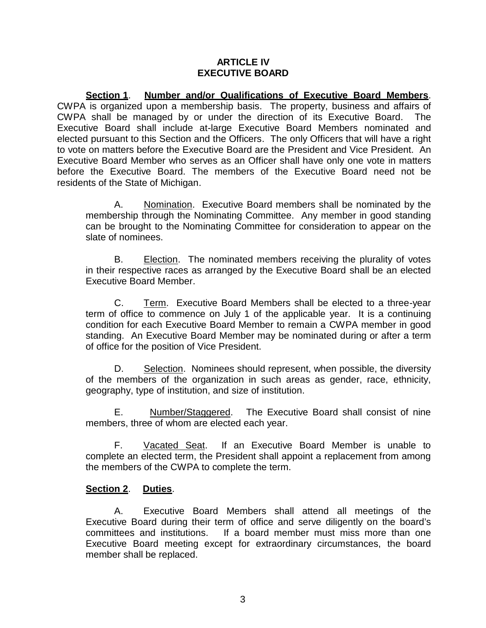### **ARTICLE IV EXECUTIVE BOARD**

**Section 1**. **Number and/or Qualifications of Executive Board Members**. CWPA is organized upon a membership basis. The property, business and affairs of CWPA shall be managed by or under the direction of its Executive Board. The Executive Board shall include at-large Executive Board Members nominated and elected pursuant to this Section and the Officers. The only Officers that will have a right to vote on matters before the Executive Board are the President and Vice President. An Executive Board Member who serves as an Officer shall have only one vote in matters before the Executive Board. The members of the Executive Board need not be residents of the State of Michigan.

A. Nomination. Executive Board members shall be nominated by the membership through the Nominating Committee. Any member in good standing can be brought to the Nominating Committee for consideration to appear on the slate of nominees.

B. Election. The nominated members receiving the plurality of votes in their respective races as arranged by the Executive Board shall be an elected Executive Board Member.

C. Term. Executive Board Members shall be elected to a three-year term of office to commence on July 1 of the applicable year. It is a continuing condition for each Executive Board Member to remain a CWPA member in good standing. An Executive Board Member may be nominated during or after a term of office for the position of Vice President.

D. Selection. Nominees should represent, when possible, the diversity of the members of the organization in such areas as gender, race, ethnicity, geography, type of institution, and size of institution.

E. Number/Staggered. The Executive Board shall consist of nine members, three of whom are elected each year.

F. Vacated Seat. If an Executive Board Member is unable to complete an elected term, the President shall appoint a replacement from among the members of the CWPA to complete the term.

# **Section 2**. **Duties**.

A. Executive Board Members shall attend all meetings of the Executive Board during their term of office and serve diligently on the board's committees and institutions. If a board member must miss more than one Executive Board meeting except for extraordinary circumstances, the board member shall be replaced.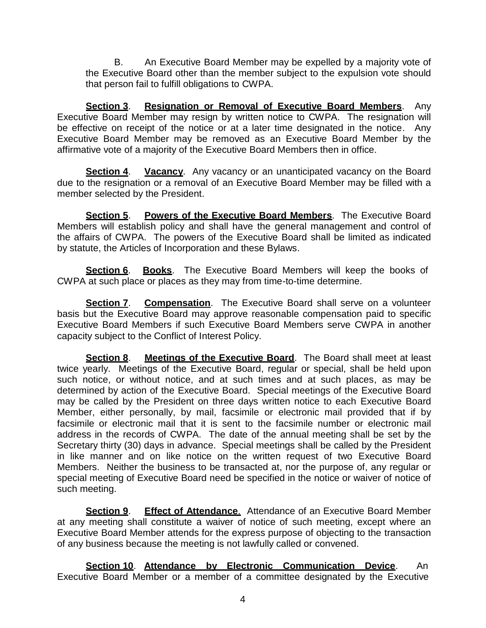B. An Executive Board Member may be expelled by a majority vote of the Executive Board other than the member subject to the expulsion vote should that person fail to fulfill obligations to CWPA.

**Section 3**. **Resignation or Removal of Executive Board Members**. Any Executive Board Member may resign by written notice to CWPA. The resignation will be effective on receipt of the notice or at a later time designated in the notice. Any Executive Board Member may be removed as an Executive Board Member by the affirmative vote of a majority of the Executive Board Members then in office.

**Section 4. Vacancy.** Any vacancy or an unanticipated vacancy on the Board due to the resignation or a removal of an Executive Board Member may be filled with a member selected by the President.

**Section 5**. **Powers of the Executive Board Members**. The Executive Board Members will establish policy and shall have the general management and control of the affairs of CWPA. The powers of the Executive Board shall be limited as indicated by statute, the Articles of Incorporation and these Bylaws.

**Section 6**. **Books**. The Executive Board Members will keep the books of CWPA at such place or places as they may from time-to-time determine.

**Section 7**. **Compensation**. The Executive Board shall serve on a volunteer basis but the Executive Board may approve reasonable compensation paid to specific Executive Board Members if such Executive Board Members serve CWPA in another capacity subject to the Conflict of Interest Policy.

**Section 8**. **Meetings of the Executive Board**. The Board shall meet at least twice yearly. Meetings of the Executive Board, regular or special, shall be held upon such notice, or without notice, and at such times and at such places, as may be determined by action of the Executive Board. Special meetings of the Executive Board may be called by the President on three days written notice to each Executive Board Member, either personally, by mail, facsimile or electronic mail provided that if by facsimile or electronic mail that it is sent to the facsimile number or electronic mail address in the records of CWPA. The date of the annual meeting shall be set by the Secretary thirty (30) days in advance. Special meetings shall be called by the President in like manner and on like notice on the written request of two Executive Board Members. Neither the business to be transacted at, nor the purpose of, any regular or special meeting of Executive Board need be specified in the notice or waiver of notice of such meeting.

**Section 9**. **Effect of Attendance**. Attendance of an Executive Board Member at any meeting shall constitute a waiver of notice of such meeting, except where an Executive Board Member attends for the express purpose of objecting to the transaction of any business because the meeting is not lawfully called or convened.

**Section 10**. **Attendance by Electronic Communication Device**. An Executive Board Member or a member of a committee designated by the Executive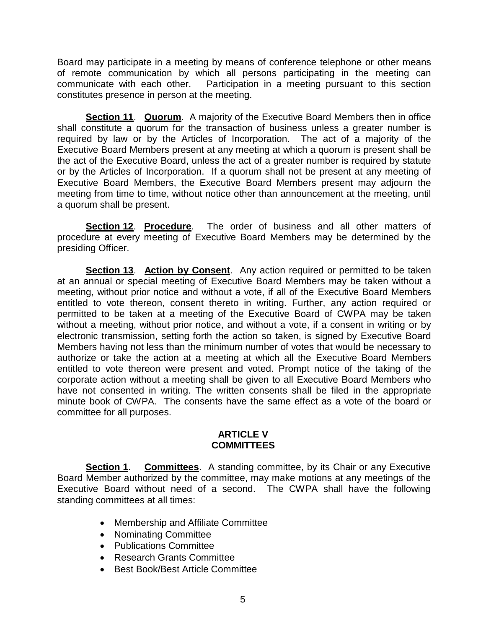Board may participate in a meeting by means of conference telephone or other means of remote communication by which all persons participating in the meeting can communicate with each other. Participation in a meeting pursuant to this section constitutes presence in person at the meeting.

**Section 11. Quorum.** A majority of the Executive Board Members then in office shall constitute a quorum for the transaction of business unless a greater number is required by law or by the Articles of Incorporation. The act of a majority of the Executive Board Members present at any meeting at which a quorum is present shall be the act of the Executive Board, unless the act of a greater number is required by statute or by the Articles of Incorporation. If a quorum shall not be present at any meeting of Executive Board Members, the Executive Board Members present may adjourn the meeting from time to time, without notice other than announcement at the meeting, until a quorum shall be present.

**Section 12**. **Procedure**. The order of business and all other matters of procedure at every meeting of Executive Board Members may be determined by the presiding Officer.

**Section 13**. **Action by Consent**. Any action required or permitted to be taken at an annual or special meeting of Executive Board Members may be taken without a meeting, without prior notice and without a vote, if all of the Executive Board Members entitled to vote thereon, consent thereto in writing. Further, any action required or permitted to be taken at a meeting of the Executive Board of CWPA may be taken without a meeting, without prior notice, and without a vote, if a consent in writing or by electronic transmission, setting forth the action so taken, is signed by Executive Board Members having not less than the minimum number of votes that would be necessary to authorize or take the action at a meeting at which all the Executive Board Members entitled to vote thereon were present and voted. Prompt notice of the taking of the corporate action without a meeting shall be given to all Executive Board Members who have not consented in writing. The written consents shall be filed in the appropriate minute book of CWPA. The consents have the same effect as a vote of the board or committee for all purposes.

### **ARTICLE V COMMITTEES**

**Section 1**. **Committees**. A standing committee, by its Chair or any Executive Board Member authorized by the committee, may make motions at any meetings of the Executive Board without need of a second. The CWPA shall have the following standing committees at all times:

- Membership and Affiliate Committee
- Nominating Committee
- Publications Committee
- Research Grants Committee
- Best Book/Best Article Committee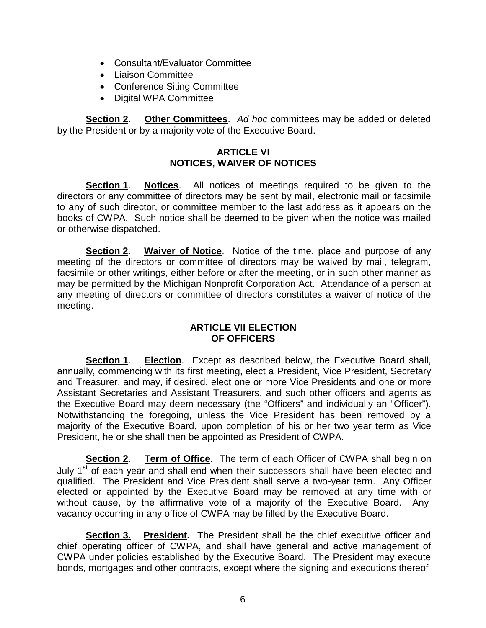- Consultant/Evaluator Committee
- Liaison Committee
- Conference Siting Committee
- Digital WPA Committee

**Section 2**. **Other Committees**. *Ad hoc* committees may be added or deleted by the President or by a majority vote of the Executive Board.

# **ARTICLE VI NOTICES, WAIVER OF NOTICES**

**Section 1**. **Notices**. All notices of meetings required to be given to the directors or any committee of directors may be sent by mail, electronic mail or facsimile to any of such director, or committee member to the last address as it appears on the books of CWPA. Such notice shall be deemed to be given when the notice was mailed or otherwise dispatched.

**Section 2. Waiver of Notice**. Notice of the time, place and purpose of any meeting of the directors or committee of directors may be waived by mail, telegram, facsimile or other writings, either before or after the meeting, or in such other manner as may be permitted by the Michigan Nonprofit Corporation Act. Attendance of a person at any meeting of directors or committee of directors constitutes a waiver of notice of the meeting.

# **ARTICLE VII ELECTION OF OFFICERS**

**Section 1**. **Election**. Except as described below, the Executive Board shall, annually, commencing with its first meeting, elect a President, Vice President, Secretary and Treasurer, and may, if desired, elect one or more Vice Presidents and one or more Assistant Secretaries and Assistant Treasurers, and such other officers and agents as the Executive Board may deem necessary (the "Officers" and individually an "Officer"). Notwithstanding the foregoing, unless the Vice President has been removed by a majority of the Executive Board, upon completion of his or her two year term as Vice President, he or she shall then be appointed as President of CWPA.

**Section 2**. **Term of Office**. The term of each Officer of CWPA shall begin on July 1<sup>st</sup> of each year and shall end when their successors shall have been elected and qualified. The President and Vice President shall serve a two-year term. Any Officer elected or appointed by the Executive Board may be removed at any time with or without cause, by the affirmative vote of a majority of the Executive Board. Any vacancy occurring in any office of CWPA may be filled by the Executive Board.

**Section 3. President.** The President shall be the chief executive officer and chief operating officer of CWPA, and shall have general and active management of CWPA under policies established by the Executive Board. The President may execute bonds, mortgages and other contracts, except where the signing and executions thereof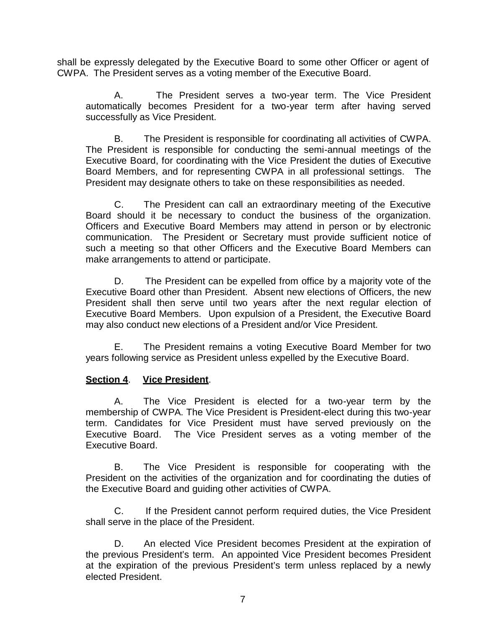shall be expressly delegated by the Executive Board to some other Officer or agent of CWPA. The President serves as a voting member of the Executive Board.

A. The President serves a two-year term. The Vice President automatically becomes President for a two-year term after having served successfully as Vice President.

B. The President is responsible for coordinating all activities of CWPA. The President is responsible for conducting the semi-annual meetings of the Executive Board, for coordinating with the Vice President the duties of Executive Board Members, and for representing CWPA in all professional settings. The President may designate others to take on these responsibilities as needed.

C. The President can call an extraordinary meeting of the Executive Board should it be necessary to conduct the business of the organization. Officers and Executive Board Members may attend in person or by electronic communication. The President or Secretary must provide sufficient notice of such a meeting so that other Officers and the Executive Board Members can make arrangements to attend or participate.

D. The President can be expelled from office by a majority vote of the Executive Board other than President. Absent new elections of Officers, the new President shall then serve until two years after the next regular election of Executive Board Members. Upon expulsion of a President, the Executive Board may also conduct new elections of a President and/or Vice President.

E. The President remains a voting Executive Board Member for two years following service as President unless expelled by the Executive Board.

# **Section 4**. **Vice President**.

A. The Vice President is elected for a two-year term by the membership of CWPA. The Vice President is President-elect during this two-year term. Candidates for Vice President must have served previously on the Executive Board. The Vice President serves as a voting member of the Executive Board.

B. The Vice President is responsible for cooperating with the President on the activities of the organization and for coordinating the duties of the Executive Board and guiding other activities of CWPA.

C. If the President cannot perform required duties, the Vice President shall serve in the place of the President.

D. An elected Vice President becomes President at the expiration of the previous President's term. An appointed Vice President becomes President at the expiration of the previous President's term unless replaced by a newly elected President.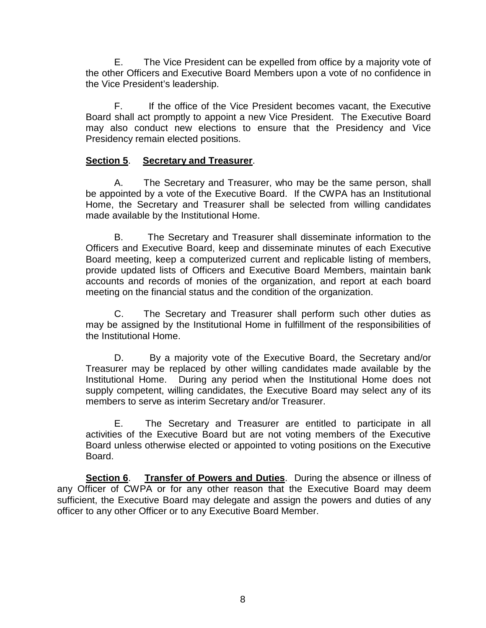E. The Vice President can be expelled from office by a majority vote of the other Officers and Executive Board Members upon a vote of no confidence in the Vice President's leadership.

F. If the office of the Vice President becomes vacant, the Executive Board shall act promptly to appoint a new Vice President. The Executive Board may also conduct new elections to ensure that the Presidency and Vice Presidency remain elected positions.

# **Section 5**. **Secretary and Treasurer**.

A. The Secretary and Treasurer, who may be the same person, shall be appointed by a vote of the Executive Board. If the CWPA has an Institutional Home, the Secretary and Treasurer shall be selected from willing candidates made available by the Institutional Home.

B. The Secretary and Treasurer shall disseminate information to the Officers and Executive Board, keep and disseminate minutes of each Executive Board meeting, keep a computerized current and replicable listing of members, provide updated lists of Officers and Executive Board Members, maintain bank accounts and records of monies of the organization, and report at each board meeting on the financial status and the condition of the organization.

C. The Secretary and Treasurer shall perform such other duties as may be assigned by the Institutional Home in fulfillment of the responsibilities of the Institutional Home.

D. By a majority vote of the Executive Board, the Secretary and/or Treasurer may be replaced by other willing candidates made available by the Institutional Home. During any period when the Institutional Home does not supply competent, willing candidates, the Executive Board may select any of its members to serve as interim Secretary and/or Treasurer.

E. The Secretary and Treasurer are entitled to participate in all activities of the Executive Board but are not voting members of the Executive Board unless otherwise elected or appointed to voting positions on the Executive Board.

**Section 6**. **Transfer of Powers and Duties**. During the absence or illness of any Officer of CWPA or for any other reason that the Executive Board may deem sufficient, the Executive Board may delegate and assign the powers and duties of any officer to any other Officer or to any Executive Board Member.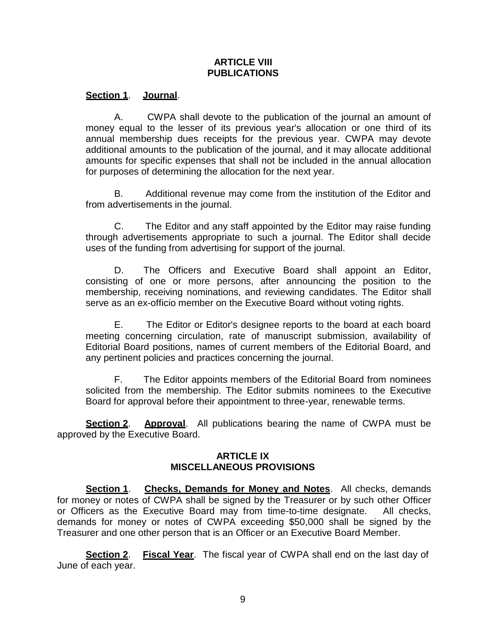# **ARTICLE VIII PUBLICATIONS**

### **Section 1**. **Journal**.

A. CWPA shall devote to the publication of the journal an amount of money equal to the lesser of its previous year's allocation or one third of its annual membership dues receipts for the previous year. CWPA may devote additional amounts to the publication of the journal, and it may allocate additional amounts for specific expenses that shall not be included in the annual allocation for purposes of determining the allocation for the next year.

B. Additional revenue may come from the institution of the Editor and from advertisements in the journal.

C. The Editor and any staff appointed by the Editor may raise funding through advertisements appropriate to such a journal. The Editor shall decide uses of the funding from advertising for support of the journal.

D. The Officers and Executive Board shall appoint an Editor, consisting of one or more persons, after announcing the position to the membership, receiving nominations, and reviewing candidates. The Editor shall serve as an ex-officio member on the Executive Board without voting rights.

E. The Editor or Editor's designee reports to the board at each board meeting concerning circulation, rate of manuscript submission, availability of Editorial Board positions, names of current members of the Editorial Board, and any pertinent policies and practices concerning the journal.

F. The Editor appoints members of the Editorial Board from nominees solicited from the membership. The Editor submits nominees to the Executive Board for approval before their appointment to three-year, renewable terms.

**Section 2**. **Approval**. All publications bearing the name of CWPA must be approved by the Executive Board.

### **ARTICLE IX MISCELLANEOUS PROVISIONS**

**Section 1**. **Checks, Demands for Money and Notes**. All checks, demands for money or notes of CWPA shall be signed by the Treasurer or by such other Officer or Officers as the Executive Board may from time-to-time designate. All checks, demands for money or notes of CWPA exceeding \$50,000 shall be signed by the Treasurer and one other person that is an Officer or an Executive Board Member.

**Section 2**. **Fiscal Year**. The fiscal year of CWPA shall end on the last day of June of each year.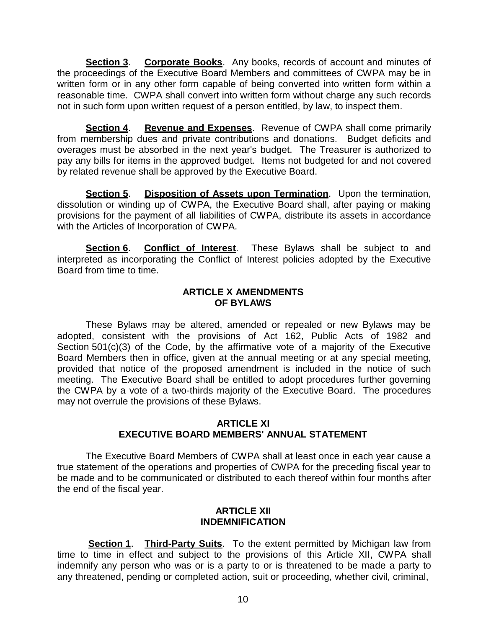**Section 3**. **Corporate Books**. Any books, records of account and minutes of the proceedings of the Executive Board Members and committees of CWPA may be in written form or in any other form capable of being converted into written form within a reasonable time. CWPA shall convert into written form without charge any such records not in such form upon written request of a person entitled, by law, to inspect them.

**Section 4**. **Revenue and Expenses**. Revenue of CWPA shall come primarily from membership dues and private contributions and donations. Budget deficits and overages must be absorbed in the next year's budget. The Treasurer is authorized to pay any bills for items in the approved budget. Items not budgeted for and not covered by related revenue shall be approved by the Executive Board.

**Section 5**. **Disposition of Assets upon Termination**. Upon the termination, dissolution or winding up of CWPA, the Executive Board shall, after paying or making provisions for the payment of all liabilities of CWPA, distribute its assets in accordance with the Articles of Incorporation of CWPA.

**Section 6**. **Conflict of Interest**. These Bylaws shall be subject to and interpreted as incorporating the Conflict of Interest policies adopted by the Executive Board from time to time.

### **ARTICLE X AMENDMENTS OF BYLAWS**

These Bylaws may be altered, amended or repealed or new Bylaws may be adopted, consistent with the provisions of Act 162, Public Acts of 1982 and Section 501(c)(3) of the Code, by the affirmative vote of a majority of the Executive Board Members then in office, given at the annual meeting or at any special meeting, provided that notice of the proposed amendment is included in the notice of such meeting. The Executive Board shall be entitled to adopt procedures further governing the CWPA by a vote of a two-thirds majority of the Executive Board. The procedures may not overrule the provisions of these Bylaws.

# **ARTICLE XI EXECUTIVE BOARD MEMBERS' ANNUAL STATEMENT**

The Executive Board Members of CWPA shall at least once in each year cause a true statement of the operations and properties of CWPA for the preceding fiscal year to be made and to be communicated or distributed to each thereof within four months after the end of the fiscal year.

### **ARTICLE XII INDEMNIFICATION**

**Section 1**. **Third-Party Suits**. To the extent permitted by Michigan law from time to time in effect and subject to the provisions of this Article XII, CWPA shall indemnify any person who was or is a party to or is threatened to be made a party to any threatened, pending or completed action, suit or proceeding, whether civil, criminal,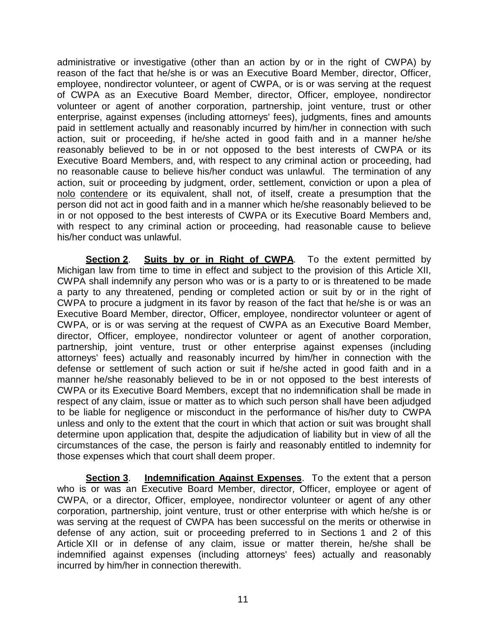administrative or investigative (other than an action by or in the right of CWPA) by reason of the fact that he/she is or was an Executive Board Member, director, Officer, employee, nondirector volunteer, or agent of CWPA, or is or was serving at the request of CWPA as an Executive Board Member, director, Officer, employee, nondirector volunteer or agent of another corporation, partnership, joint venture, trust or other enterprise, against expenses (including attorneys' fees), judgments, fines and amounts paid in settlement actually and reasonably incurred by him/her in connection with such action, suit or proceeding, if he/she acted in good faith and in a manner he/she reasonably believed to be in or not opposed to the best interests of CWPA or its Executive Board Members, and, with respect to any criminal action or proceeding, had no reasonable cause to believe his/her conduct was unlawful. The termination of any action, suit or proceeding by judgment, order, settlement, conviction or upon a plea of nolo contendere or its equivalent, shall not, of itself, create a presumption that the person did not act in good faith and in a manner which he/she reasonably believed to be in or not opposed to the best interests of CWPA or its Executive Board Members and, with respect to any criminal action or proceeding, had reasonable cause to believe his/her conduct was unlawful.

**Section 2.** Suits by or in Right of CWPA. To the extent permitted by Michigan law from time to time in effect and subject to the provision of this Article XII, CWPA shall indemnify any person who was or is a party to or is threatened to be made a party to any threatened, pending or completed action or suit by or in the right of CWPA to procure a judgment in its favor by reason of the fact that he/she is or was an Executive Board Member, director, Officer, employee, nondirector volunteer or agent of CWPA, or is or was serving at the request of CWPA as an Executive Board Member, director, Officer, employee, nondirector volunteer or agent of another corporation, partnership, joint venture, trust or other enterprise against expenses (including attorneys' fees) actually and reasonably incurred by him/her in connection with the defense or settlement of such action or suit if he/she acted in good faith and in a manner he/she reasonably believed to be in or not opposed to the best interests of CWPA or its Executive Board Members, except that no indemnification shall be made in respect of any claim, issue or matter as to which such person shall have been adjudged to be liable for negligence or misconduct in the performance of his/her duty to CWPA unless and only to the extent that the court in which that action or suit was brought shall determine upon application that, despite the adjudication of liability but in view of all the circumstances of the case, the person is fairly and reasonably entitled to indemnity for those expenses which that court shall deem proper.

**Section 3**. **Indemnification Against Expenses**. To the extent that a person who is or was an Executive Board Member, director, Officer, employee or agent of CWPA, or a director, Officer, employee, nondirector volunteer or agent of any other corporation, partnership, joint venture, trust or other enterprise with which he/she is or was serving at the request of CWPA has been successful on the merits or otherwise in defense of any action, suit or proceeding preferred to in Sections 1 and 2 of this Article XII or in defense of any claim, issue or matter therein, he/she shall be indemnified against expenses (including attorneys' fees) actually and reasonably incurred by him/her in connection therewith.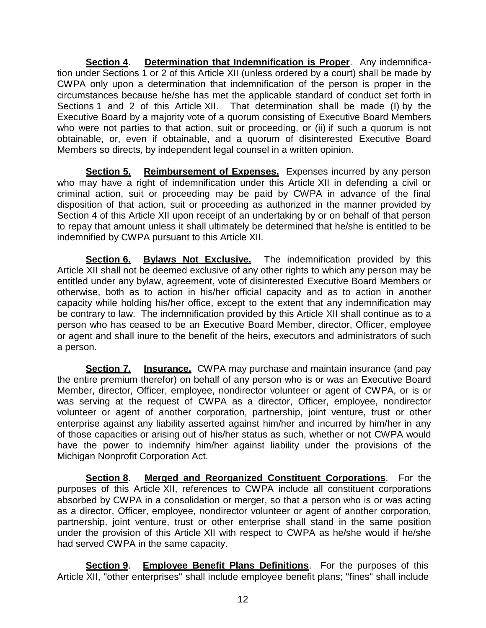**Section 4**. **Determination that Indemnification is Proper**. Any indemnification under Sections 1 or 2 of this Article XII (unless ordered by a court) shall be made by CWPA only upon a determination that indemnification of the person is proper in the circumstances because he/she has met the applicable standard of conduct set forth in Sections 1 and 2 of this Article XII. That determination shall be made (I) by the Executive Board by a majority vote of a quorum consisting of Executive Board Members who were not parties to that action, suit or proceeding, or (ii) if such a quorum is not obtainable, or, even if obtainable, and a quorum of disinterested Executive Board Members so directs, by independent legal counsel in a written opinion.

**Section 5. Reimbursement of Expenses.** Expenses incurred by any person who may have a right of indemnification under this Article XII in defending a civil or criminal action, suit or proceeding may be paid by CWPA in advance of the final disposition of that action, suit or proceeding as authorized in the manner provided by Section 4 of this Article XII upon receipt of an undertaking by or on behalf of that person to repay that amount unless it shall ultimately be determined that he/she is entitled to be indemnified by CWPA pursuant to this Article XII.

**Section 6. Bylaws Not Exclusive.** The indemnification provided by this Article XII shall not be deemed exclusive of any other rights to which any person may be entitled under any bylaw, agreement, vote of disinterested Executive Board Members or otherwise, both as to action in his/her official capacity and as to action in another capacity while holding his/her office, except to the extent that any indemnification may be contrary to law. The indemnification provided by this Article XII shall continue as to a person who has ceased to be an Executive Board Member, director, Officer, employee or agent and shall inure to the benefit of the heirs, executors and administrators of such a person.

**Section 7.** Insurance. CWPA may purchase and maintain insurance (and pay the entire premium therefor) on behalf of any person who is or was an Executive Board Member, director, Officer, employee, nondirector volunteer or agent of CWPA, or is or was serving at the request of CWPA as a director, Officer, employee, nondirector volunteer or agent of another corporation, partnership, joint venture, trust or other enterprise against any liability asserted against him/her and incurred by him/her in any of those capacities or arising out of his/her status as such, whether or not CWPA would have the power to indemnify him/her against liability under the provisions of the Michigan Nonprofit Corporation Act.

**Section 8**. **Merged and Reorganized Constituent Corporations**. For the purposes of this Article XII, references to CWPA include all constituent corporations absorbed by CWPA in a consolidation or merger, so that a person who is or was acting as a director, Officer, employee, nondirector volunteer or agent of another corporation, partnership, joint venture, trust or other enterprise shall stand in the same position under the provision of this Article XII with respect to CWPA as he/she would if he/she had served CWPA in the same capacity.

**Section 9**. **Employee Benefit Plans Definitions**. For the purposes of this Article XII, "other enterprises" shall include employee benefit plans; "fines" shall include